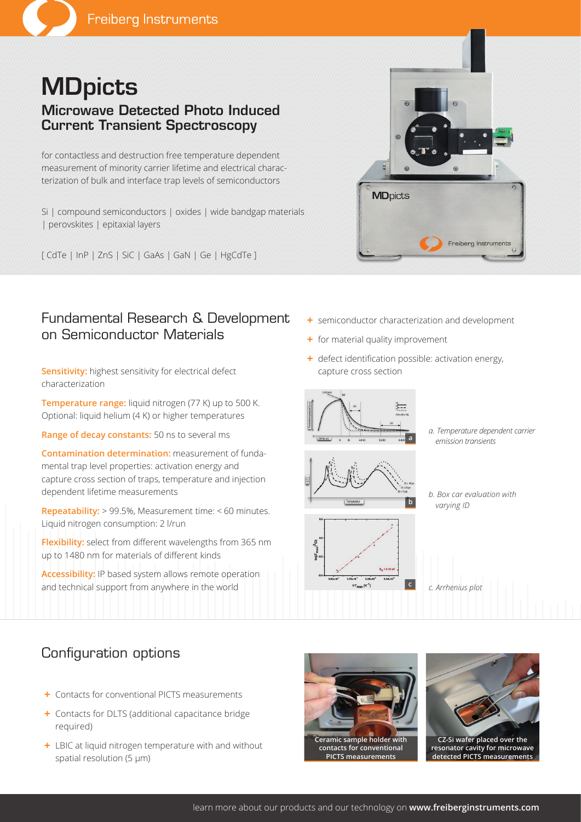# **MDpicts** Microwave Detected Photo Induced Current Transient Spectroscopy

for contactless and destruction free temperature dependent measurement of minority carrier lifetime and electrical characterization of bulk and interface trap levels of semiconductors

Si | compound semiconductors | oxides | wide bandgap materials | perovskites | epitaxial layers

[ CdTe | InP | ZnS | SiC | GaAs | GaN | Ge | HgCdTe ]

# **MD**picts Freiberg Instruments

## Fundamental Research & Development on Semiconductor Materials

**Sensitivity:** highest sensitivity for electrical defect characterization

**Temperature range:** liquid nitrogen (77 K) up to 500 K. Optional: liquid helium (4 K) or higher temperatures

**Range of decay constants:** 50 ns to several ms

**Contamination determination:** measurement of fundamental trap level properties: activation energy and capture cross section of traps, temperature and injection dependent lifetime measurements

**Repeatability:** > 99.5%, Measurement time: < 60 minutes. Liquid nitrogen consumption: 2 l/run

**Flexibility:** select from different wavelengths from 365 nm up to 1480 nm for materials of different kinds

**Accessibility:** IP based system allows remote operation and technical support from anywhere in the world

- **+** semiconductor characterization and development
- **+** for material quality improvement
- **+** defect identification possible: activation energy, capture cross section









*b. Box car evaluation with varying ID*

*c. Arrhenius plot*

# Configuration options

- **+** Contacts for conventional PICTS measurements
- **+** Contacts for DLTS (additional capacitance bridge required)
- **+** LBIC at liquid nitrogen temperature with and without spatial resolution (5 µm)



**contacts for conventional PICTS measurements**



**resonator cavity for microwave detected PICTS measurements**